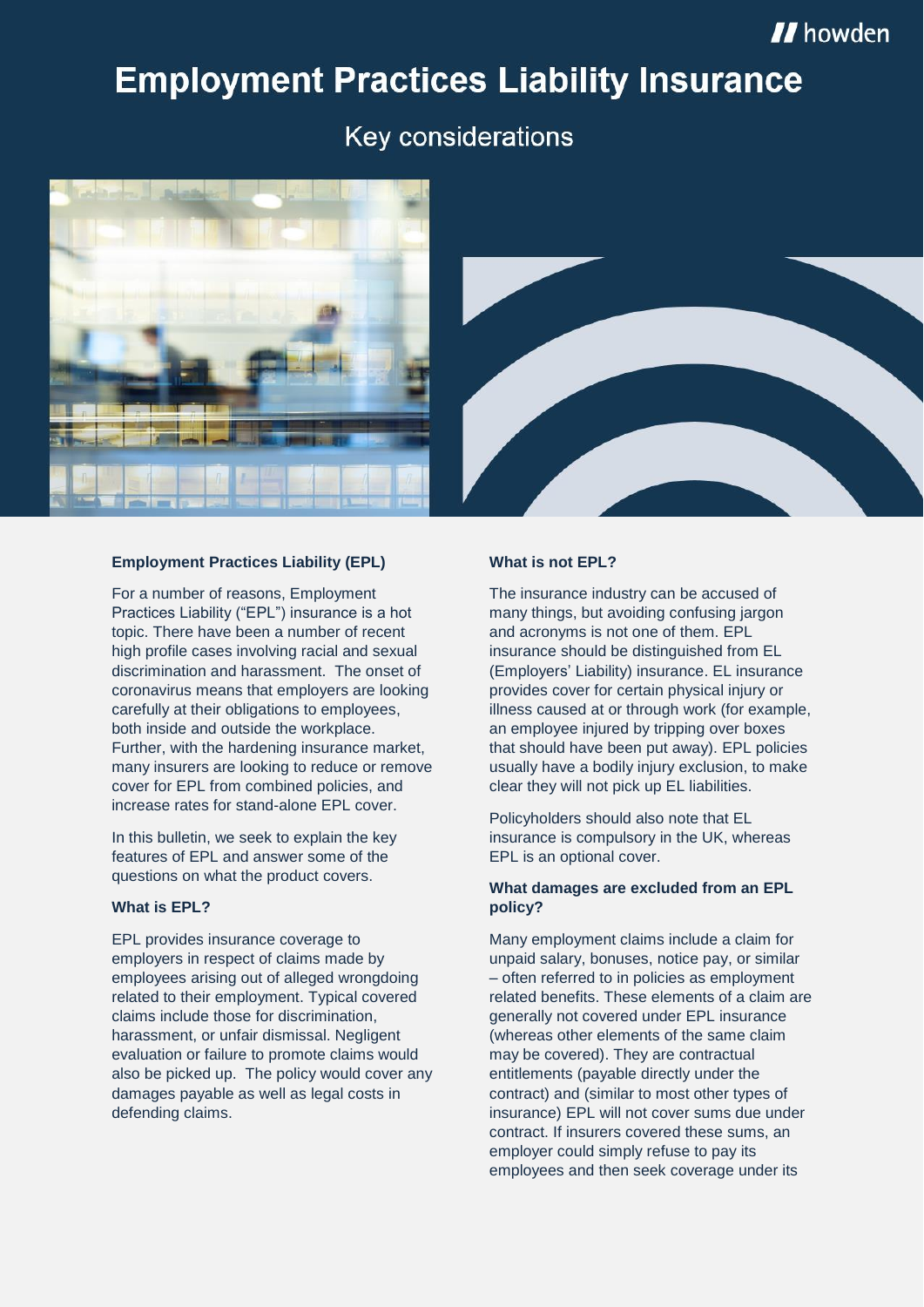# **Employment Practices Liability Insurance**

## Key considerations



#### **Employment Practices Liability (EPL)**

For a number of reasons, Employment Practices Liability ("EPL") insurance is a hot topic. There have been a number of recent high profile cases involving racial and sexual discrimination and harassment. The onset of coronavirus means that employers are looking carefully at their obligations to employees, both inside and outside the workplace. Further, with the hardening insurance market, many insurers are looking to reduce or remove cover for EPL from combined policies, and increase rates for stand-alone EPL cover.

In this bulletin, we seek to explain the key features of EPL and answer some of the questions on what the product covers.

#### **What is EPL?**

EPL provides insurance coverage to employers in respect of claims made by employees arising out of alleged wrongdoing related to their employment. Typical covered claims include those for discrimination, harassment, or unfair dismissal. Negligent evaluation or failure to promote claims would also be picked up. The policy would cover any damages payable as well as legal costs in defending claims.

#### **What is not EPL?**

The insurance industry can be accused of many things, but avoiding confusing jargon and acronyms is not one of them. EPL insurance should be distinguished from EL (Employers' Liability) insurance. EL insurance provides cover for certain physical injury or illness caused at or through work (for example, an employee injured by tripping over boxes that should have been put away). EPL policies usually have a bodily injury exclusion, to make clear they will not pick up EL liabilities.

Policyholders should also note that EL insurance is compulsory in the UK, whereas EPL is an optional cover.

#### **What damages are excluded from an EPL policy?**

Many employment claims include a claim for unpaid salary, bonuses, notice pay, or similar – often referred to in policies as employment related benefits. These elements of a claim are generally not covered under EPL insurance (whereas other elements of the same claim may be covered). They are contractual entitlements (payable directly under the contract) and (similar to most other types of insurance) EPL will not cover sums due under contract. If insurers covered these sums, an employer could simply refuse to pay its employees and then seek coverage under its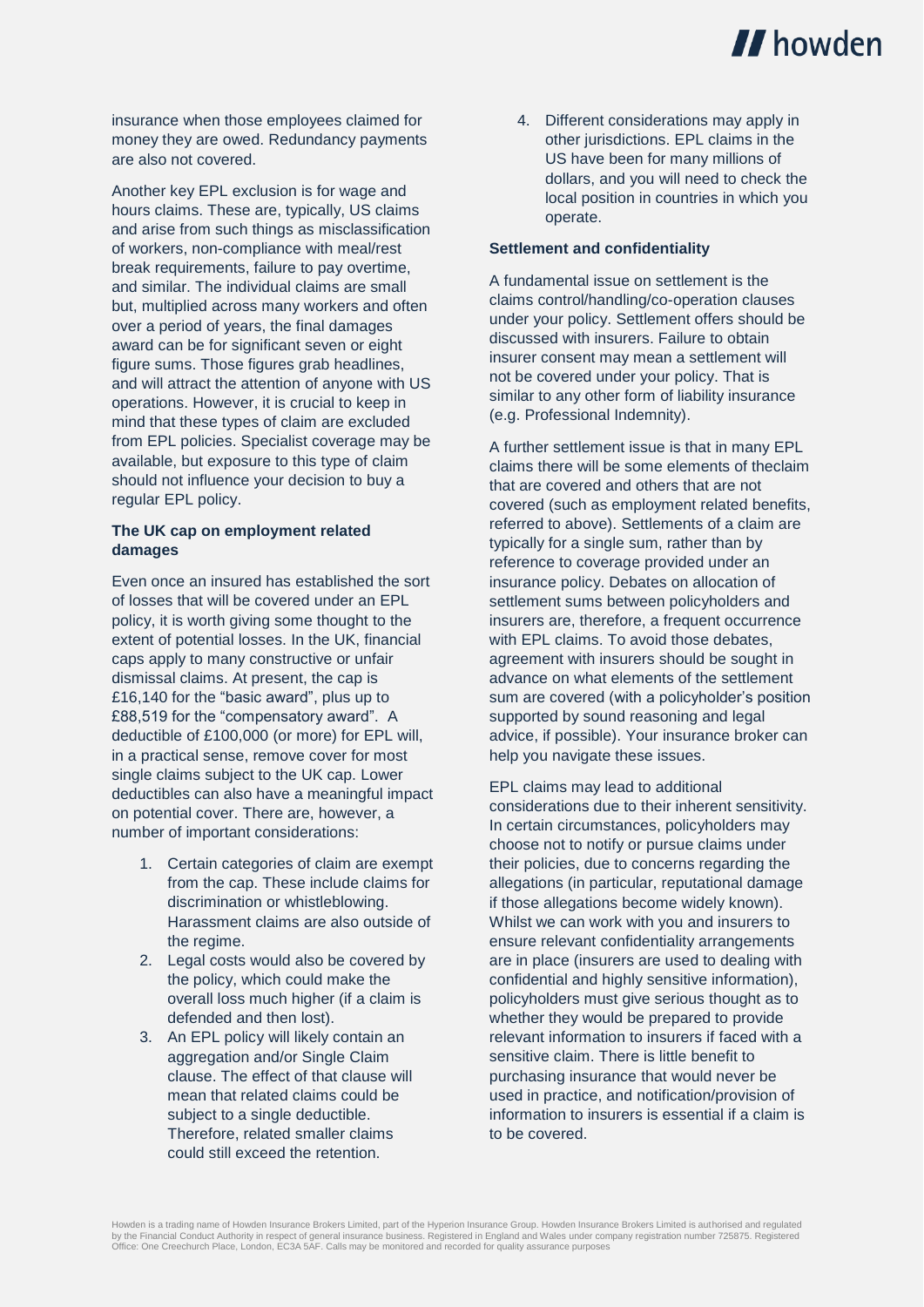

insurance when those employees claimed for money they are owed. Redundancy payments are also not covered.

Another key EPL exclusion is for wage and hours claims. These are, typically, US claims and arise from such things as misclassification of workers, non-compliance with meal/rest break requirements, failure to pay overtime, and similar. The individual claims are small but, multiplied across many workers and often over a period of years, the final damages award can be for significant seven or eight figure sums. Those figures grab headlines, and will attract the attention of anyone with US operations. However, it is crucial to keep in mind that these types of claim are excluded from EPL policies. Specialist coverage may be available, but exposure to this type of claim should not influence your decision to buy a regular EPL policy.

#### **The UK cap on employment related damages**

Even once an insured has established the sort of losses that will be covered under an EPL policy, it is worth giving some thought to the extent of potential losses. In the UK, financial caps apply to many constructive or unfair dismissal claims. At present, the cap is £16,140 for the "basic award", plus up to £88,519 for the "compensatory award". A deductible of £100,000 (or more) for EPL will, in a practical sense, remove cover for most single claims subject to the UK cap. Lower deductibles can also have a meaningful impact on potential cover. There are, however, a number of important considerations:

- 1. Certain categories of claim are exempt from the cap. These include claims for discrimination or whistleblowing. Harassment claims are also outside of the regime.
- 2. Legal costs would also be covered by the policy, which could make the overall loss much higher (if a claim is defended and then lost).
- 3. An EPL policy will likely contain an aggregation and/or Single Claim clause. The effect of that clause will mean that related claims could be subject to a single deductible. Therefore, related smaller claims could still exceed the retention.

operate. local position in countries in which you dollars, and you will need to check the US have been for many millions of other jurisdictions. EPL claims in the 4. Different considerations may apply in

#### **Settlement and confidentiality**

(e.g. Professional Indemnity). similar to any other form of liability insurance not be covered under your policy. That is insurer consent may mean a settlement will discussed with insurers. Failure to obtain under your policy. Settlement offers should be claims control/handling/co-operation clauses A fundamental issue on settlement is the

help you navigate these issues. advice, if possible). Your insurance broker can supported by sound reasoning and legal sum are covered (with a policyholder's position advance on what elements of the settlement agreement with insurers should be sought in with EPL claims. To avoid those debates, insurers are, therefore, a frequent occurrence settlement sums between policyholders and insurance policy. Debates on allocation of reference to coverage provided under an typically for a single sum, rather than by referred to above). Settlements of a claim are covered (such as employment related benefits, that are covered and others that are not claims there will be some elements of theclaim A further settlement issue is that in many EPL

to be covered. information to insurers is essential if a claim is used in practice, and notification/provision of purchasing insurance that would never be sensitive claim. There is little benefit to relevant information to insurers if faced with a whether they would be prepared to provide policyholders must give serious thought as to confidential and highly sensitive information), are in place (insurers are used to dealing with ensure relevant confidentiality arrangements Whilst we can work with you and insurers to if those allegations become widely known). allegations (in particular, reputational damage their policies, due to concerns regarding the choose not to notify or pursue claims under In certain circumstances, policyholders may considerations due to their inherent sensitivity. EPL claims may lead to additional